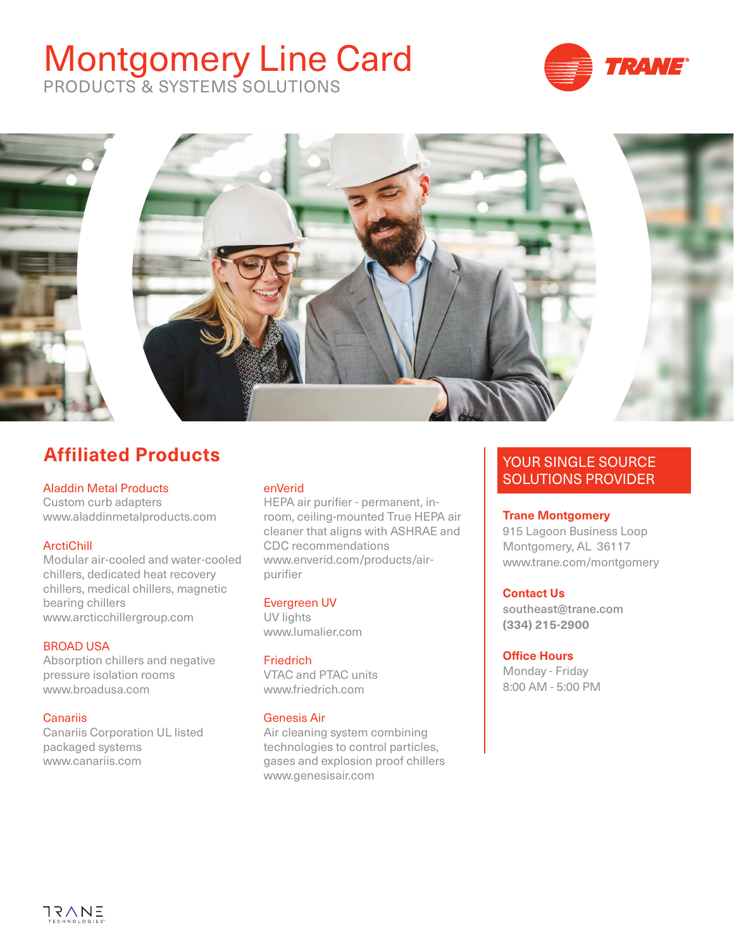# Montgomery Line Card



PRODUCTS & SYSTEMS SOLUTIONS



# **Affiliated Products**

## Aladdin Metal Products

Custom curb adapters www.aladdinmetalproducts.com

# **ArctiChill**

Modular air-cooled and water-cooled chillers, dedicated heat recovery chillers, medical chillers, magnetic bearing chillers www.arcticchillergroup.com

# BROAD USA

Absorption chillers and negative pressure isolation rooms www.broadusa.com

# **Canariis**

Canariis Corporation UL listed packaged systems www.canariis.com

## enVerid

HEPA air purifier - permanent, inroom, ceiling-mounted True HEPA air cleaner that aligns with ASHRAE and CDC recommendations www.enverid.com/products/airpurifier

# Evergreen UV

UV lights www.lumalier.com

## **Friedrich**

VTAC and PTAC units www.friedrich.com

# Genesis Air

Air cleaning system combining technologies to control particles, gases and explosion proof chillers www.genesisair.com

# YOUR SINGLE SOURCE SOLUTIONS PROVIDER

## **Trane Montgomery**

915 Lagoon Business Loop Montgomery, AL 36117 www.trane.com/montgomery

## **Contact Us**

southeast@trane.com **(334) 215-2900**

## **Office Hours**

Monday - Friday 8:00 AM - 5:00 PM